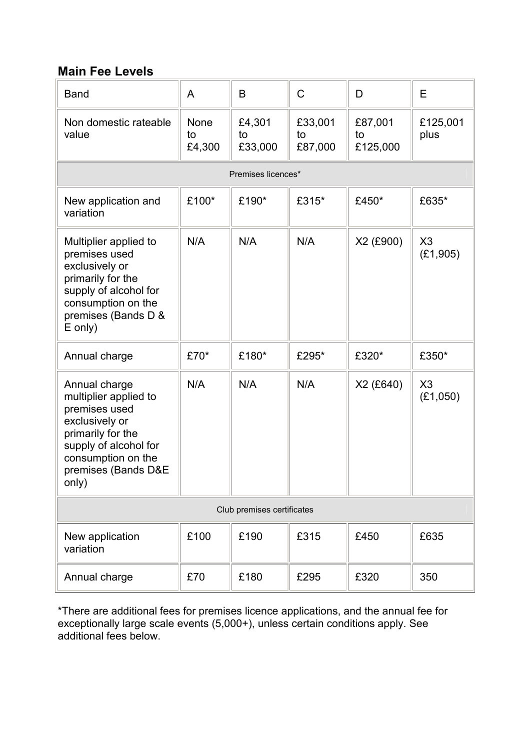## **Main Fee Levels**

| <b>Band</b>                                                                                                                                                                   | A                           | B                       | $\mathsf C$              | D                         | E                |  |  |  |
|-------------------------------------------------------------------------------------------------------------------------------------------------------------------------------|-----------------------------|-------------------------|--------------------------|---------------------------|------------------|--|--|--|
| Non domestic rateable<br>value                                                                                                                                                | <b>None</b><br>to<br>£4,300 | £4,301<br>to<br>£33,000 | £33,001<br>to<br>£87,000 | £87,001<br>to<br>£125,000 | £125,001<br>plus |  |  |  |
| Premises licences*                                                                                                                                                            |                             |                         |                          |                           |                  |  |  |  |
| New application and<br>variation                                                                                                                                              | £100*                       | £190*                   | £315*                    | £450*                     | £635*            |  |  |  |
| Multiplier applied to<br>premises used<br>exclusively or<br>primarily for the<br>supply of alcohol for<br>consumption on the<br>premises (Bands D &<br>$E$ only)              | N/A                         | N/A                     | N/A                      | X2 (£900)                 | X3<br>(E1, 905)  |  |  |  |
| Annual charge                                                                                                                                                                 | £70*                        | £180*                   | £295*                    | £320*                     | £350*            |  |  |  |
| Annual charge<br>multiplier applied to<br>premises used<br>exclusively or<br>primarily for the<br>supply of alcohol for<br>consumption on the<br>premises (Bands D&E<br>only) | N/A                         | N/A                     | N/A                      | X2 (£640)                 | X3<br>(E1,050)   |  |  |  |
| Club premises certificates                                                                                                                                                    |                             |                         |                          |                           |                  |  |  |  |
| New application<br>variation                                                                                                                                                  | £100                        | £190                    | £315                     | £450                      | £635             |  |  |  |
| Annual charge                                                                                                                                                                 | £70                         | £180                    | £295                     | £320                      | 350              |  |  |  |

\*There are additional fees for premises licence applications, and the annual fee for exceptionally large scale events (5,000+), unless certain conditions apply. See additional fees below.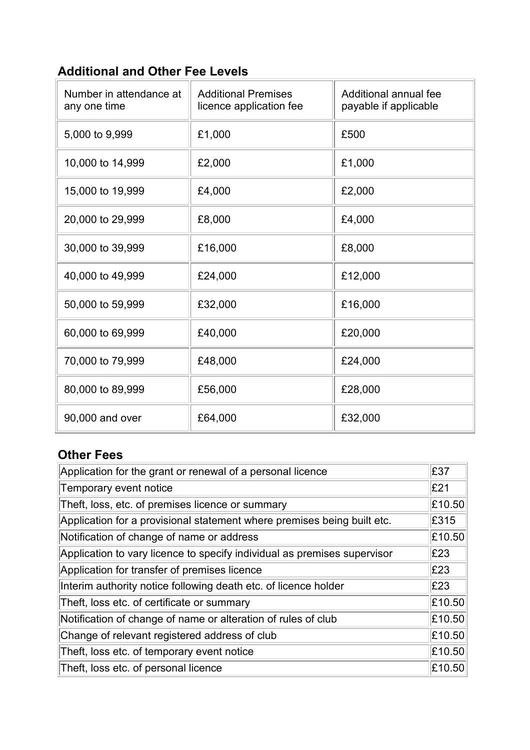## **Additional and Other Fee Levels**

| Number in attendance at<br>any one time | <b>Additional Premises</b><br>licence application fee | Additional annual fee<br>payable if applicable |
|-----------------------------------------|-------------------------------------------------------|------------------------------------------------|
| 5,000 to 9,999                          | £1,000                                                | £500                                           |
| 10,000 to 14,999                        | £2,000                                                | £1,000                                         |
| 15,000 to 19,999                        | £4,000                                                | £2,000                                         |
| 20,000 to 29,999                        | £8,000                                                | £4,000                                         |
| 30,000 to 39,999                        | £16,000                                               | £8,000                                         |
| 40,000 to 49,999                        | £24,000                                               | £12,000                                        |
| 50,000 to 59,999                        | £32,000                                               | £16,000                                        |
| 60,000 to 69,999                        | £40,000                                               | £20,000                                        |
| 70,000 to 79,999                        | £48,000                                               | £24,000                                        |
| 80,000 to 89,999                        | £56,000                                               | £28,000                                        |
| 90,000 and over                         | £64,000                                               | £32,000                                        |

## **Other Fees**

| Application for the grant or renewal of a personal licence               |        |  |
|--------------------------------------------------------------------------|--------|--|
| Temporary event notice                                                   |        |  |
| Theft, loss, etc. of premises licence or summary                         | £10.50 |  |
| Application for a provisional statement where premises being built etc.  | £315   |  |
| Notification of change of name or address                                | £10.50 |  |
| Application to vary licence to specify individual as premises supervisor | E23    |  |
| Application for transfer of premises licence                             | £23    |  |
| Interim authority notice following death etc. of licence holder          | E23    |  |
| Theft, loss etc. of certificate or summary                               | £10.50 |  |
| Notification of change of name or alteration of rules of club            | £10.50 |  |
| Change of relevant registered address of club                            | £10.50 |  |
| Theft, loss etc. of temporary event notice                               | £10.50 |  |
| Theft, loss etc. of personal licence                                     | £10.50 |  |